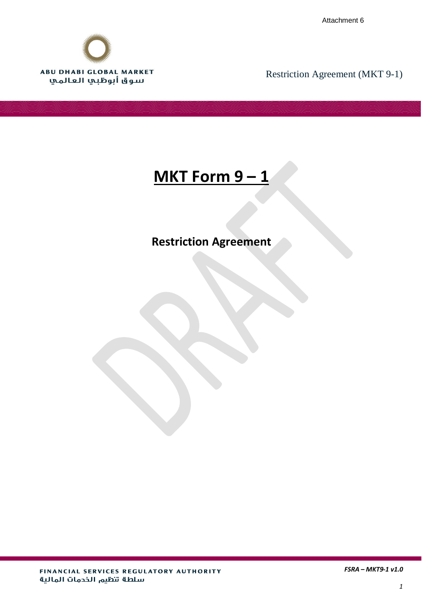Attachment 6



Restriction Agreement (MKT 9-1)

# **MKT Form 9 – 1**

## **Restriction Agreement**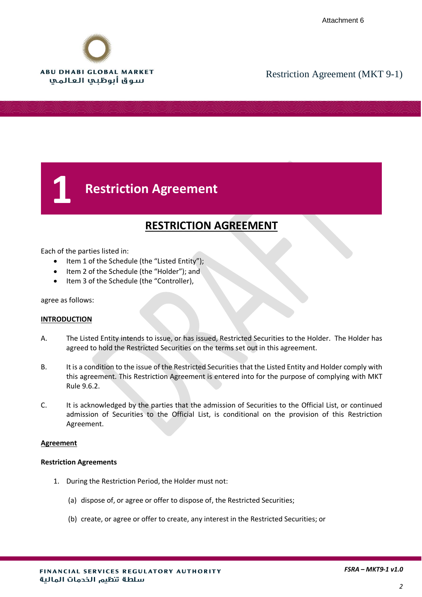

## **1 Restriction Agreement**

### **RESTRICTION AGREEMENT**

Each of the parties listed in:

- Item 1 of the Schedule (the "Listed Entity");
- Item 2 of the Schedule (the "Holder"); and
- Item 3 of the Schedule (the "Controller),

agree as follows:

### **INTRODUCTION**

- A. The Listed Entity intends to issue, or has issued, Restricted Securities to the Holder. The Holder has agreed to hold the Restricted Securities on the terms set out in this agreement.
- B. It is a condition to the issue of the Restricted Securities that the Listed Entity and Holder comply with this agreement. This Restriction Agreement is entered into for the purpose of complying with MKT Rule 9.6.2.
- C. It is acknowledged by the parties that the admission of Securities to the Official List, or continued admission of Securities to the Official List, is conditional on the provision of this Restriction Agreement.

### **Agreement**

### **Restriction Agreements**

- 1. During the Restriction Period, the Holder must not:
	- (a) dispose of, or agree or offer to dispose of, the Restricted Securities;
	- (b) create, or agree or offer to create, any interest in the Restricted Securities; or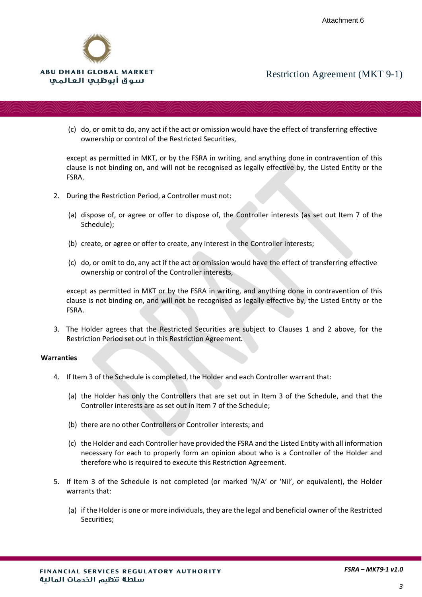

(c) do, or omit to do, any act if the act or omission would have the effect of transferring effective ownership or control of the Restricted Securities,

except as permitted in MKT, or by the FSRA in writing, and anything done in contravention of this clause is not binding on, and will not be recognised as legally effective by, the Listed Entity or the FSRA.

- 2. During the Restriction Period, a Controller must not:
	- (a) dispose of, or agree or offer to dispose of, the Controller interests (as set out Item 7 of the Schedule);
	- (b) create, or agree or offer to create, any interest in the Controller interests;
	- (c) do, or omit to do, any act if the act or omission would have the effect of transferring effective ownership or control of the Controller interests,

except as permitted in MKT or by the FSRA in writing, and anything done in contravention of this clause is not binding on, and will not be recognised as legally effective by, the Listed Entity or the FSRA.

3. The Holder agrees that the Restricted Securities are subject to Clauses 1 and 2 above, for the Restriction Period set out in this Restriction Agreement.

#### **Warranties**

- 4. If Item 3 of the Schedule is completed, the Holder and each Controller warrant that:
	- (a) the Holder has only the Controllers that are set out in Item 3 of the Schedule, and that the Controller interests are as set out in Item 7 of the Schedule;
	- (b) there are no other Controllers or Controller interests; and
	- (c) the Holder and each Controller have provided the FSRA and the Listed Entity with all information necessary for each to properly form an opinion about who is a Controller of the Holder and therefore who is required to execute this Restriction Agreement.
- 5. If Item 3 of the Schedule is not completed (or marked 'N/A' or 'Nil', or equivalent), the Holder warrants that:
	- (a) if the Holder is one or more individuals, they are the legal and beneficial owner of the Restricted Securities;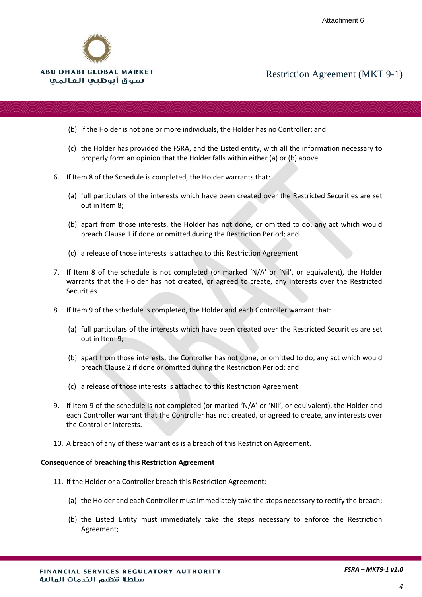

- (b) if the Holder is not one or more individuals, the Holder has no Controller; and
- (c) the Holder has provided the FSRA, and the Listed entity, with all the information necessary to properly form an opinion that the Holder falls within either (a) or (b) above.
- 6. If Item 8 of the Schedule is completed, the Holder warrants that:
	- (a) full particulars of the interests which have been created over the Restricted Securities are set out in Item 8;
	- (b) apart from those interests, the Holder has not done, or omitted to do, any act which would breach Clause 1 if done or omitted during the Restriction Period; and
	- (c) a release of those interests is attached to this Restriction Agreement.
- 7. If Item 8 of the schedule is not completed (or marked 'N/A' or 'Nil', or equivalent), the Holder warrants that the Holder has not created, or agreed to create, any interests over the Restricted Securities.
- 8. If Item 9 of the schedule is completed, the Holder and each Controller warrant that:
	- (a) full particulars of the interests which have been created over the Restricted Securities are set out in Item 9;
	- (b) apart from those interests, the Controller has not done, or omitted to do, any act which would breach Clause 2 if done or omitted during the Restriction Period; and
	- (c) a release of those interests is attached to this Restriction Agreement.
- 9. If Item 9 of the schedule is not completed (or marked 'N/A' or 'Nil', or equivalent), the Holder and each Controller warrant that the Controller has not created, or agreed to create, any interests over the Controller interests.
- 10. A breach of any of these warranties is a breach of this Restriction Agreement.

#### **Consequence of breaching this Restriction Agreement**

- 11. If the Holder or a Controller breach this Restriction Agreement:
	- (a) the Holder and each Controller must immediately take the steps necessary to rectify the breach;
	- (b) the Listed Entity must immediately take the steps necessary to enforce the Restriction Agreement;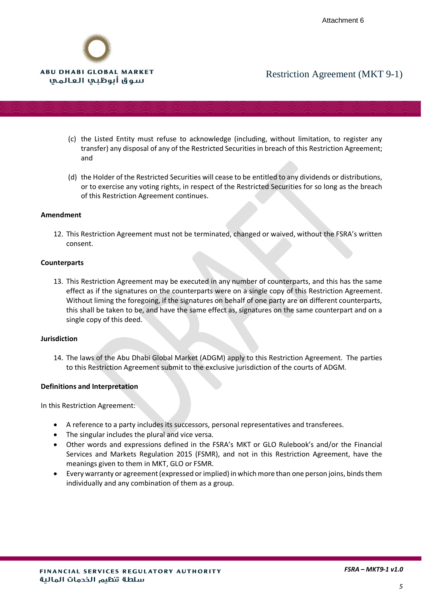

- (c) the Listed Entity must refuse to acknowledge (including, without limitation, to register any transfer) any disposal of any of the Restricted Securities in breach of this Restriction Agreement; and
- (d) the Holder of the Restricted Securities will cease to be entitled to any dividends or distributions, or to exercise any voting rights, in respect of the Restricted Securities for so long as the breach of this Restriction Agreement continues.

### **Amendment**

12. This Restriction Agreement must not be terminated, changed or waived, without the FSRA's written consent.

### **Counterparts**

13. This Restriction Agreement may be executed in any number of counterparts, and this has the same effect as if the signatures on the counterparts were on a single copy of this Restriction Agreement. Without liming the foregoing, if the signatures on behalf of one party are on different counterparts, this shall be taken to be, and have the same effect as, signatures on the same counterpart and on a single copy of this deed.

### **Jurisdiction**

14. The laws of the Abu Dhabi Global Market (ADGM) apply to this Restriction Agreement. The parties to this Restriction Agreement submit to the exclusive jurisdiction of the courts of ADGM.

### **Definitions and Interpretation**

In this Restriction Agreement:

- A reference to a party includes its successors, personal representatives and transferees.
- The singular includes the plural and vice versa.
- Other words and expressions defined in the FSRA's MKT or GLO Rulebook's and/or the Financial Services and Markets Regulation 2015 (FSMR), and not in this Restriction Agreement, have the meanings given to them in MKT, GLO or FSMR.
- Every warranty or agreement (expressed or implied) in which more than one person joins, binds them individually and any combination of them as a group.